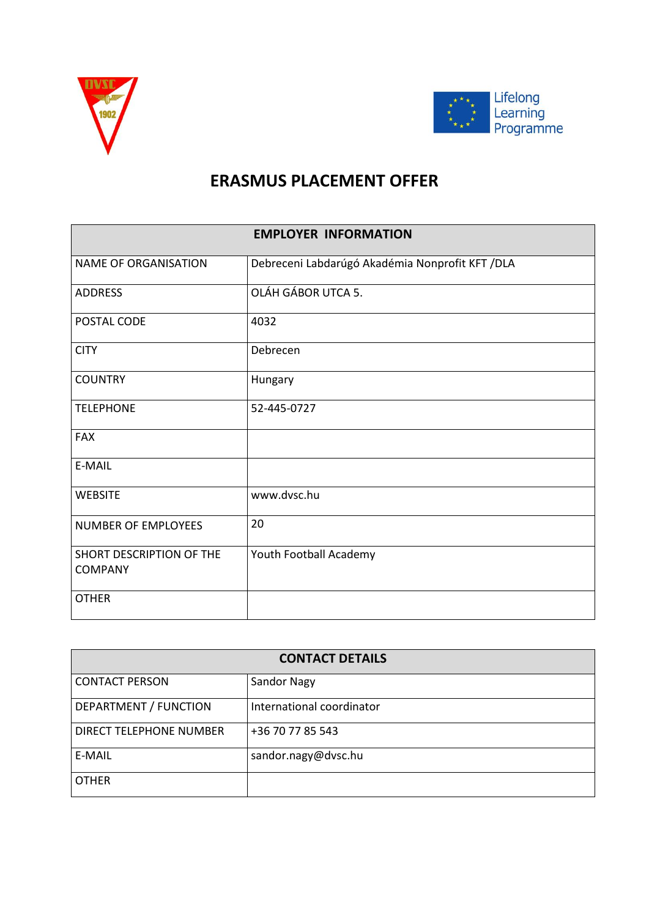



## **ERASMUS PLACEMENT OFFER**

| <b>EMPLOYER INFORMATION</b>                |                                                  |  |
|--------------------------------------------|--------------------------------------------------|--|
| <b>NAME OF ORGANISATION</b>                | Debreceni Labdarúgó Akadémia Nonprofit KFT / DLA |  |
| <b>ADDRESS</b>                             | OLÁH GÁBOR UTCA 5.                               |  |
| POSTAL CODE                                | 4032                                             |  |
| <b>CITY</b>                                | Debrecen                                         |  |
| <b>COUNTRY</b>                             | Hungary                                          |  |
| <b>TELEPHONE</b>                           | 52-445-0727                                      |  |
| <b>FAX</b>                                 |                                                  |  |
| E-MAIL                                     |                                                  |  |
| <b>WEBSITE</b>                             | www.dvsc.hu                                      |  |
| <b>NUMBER OF EMPLOYEES</b>                 | 20                                               |  |
| SHORT DESCRIPTION OF THE<br><b>COMPANY</b> | Youth Football Academy                           |  |
| <b>OTHER</b>                               |                                                  |  |

| <b>CONTACT DETAILS</b>  |                           |  |
|-------------------------|---------------------------|--|
| <b>CONTACT PERSON</b>   | <b>Sandor Nagy</b>        |  |
| DEPARTMENT / FUNCTION   | International coordinator |  |
| DIRECT TELEPHONE NUMBER | +36 70 77 85 543          |  |
| E-MAIL                  | sandor.nagy@dvsc.hu       |  |
| <b>OTHER</b>            |                           |  |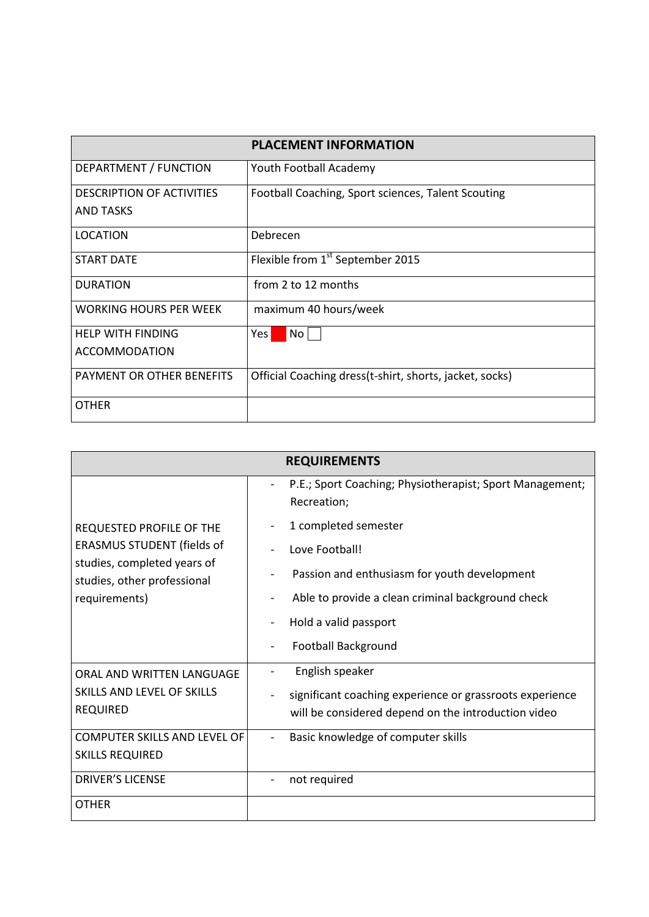|                                  | <b>PLACEMENT INFORMATION</b>                             |
|----------------------------------|----------------------------------------------------------|
| DEPARTMENT / FUNCTION            | Youth Football Academy                                   |
| <b>DESCRIPTION OF ACTIVITIES</b> | Football Coaching, Sport sciences, Talent Scouting       |
| <b>AND TASKS</b>                 |                                                          |
| <b>LOCATION</b>                  | Debrecen                                                 |
| <b>START DATE</b>                | Flexible from 1 <sup>st</sup> September 2015             |
| <b>DURATION</b>                  | from 2 to 12 months                                      |
| <b>WORKING HOURS PER WEEK</b>    | maximum 40 hours/week                                    |
| <b>HELP WITH FINDING</b>         | Yes  <br>No <sub>1</sub>                                 |
| <b>ACCOMMODATION</b>             |                                                          |
| PAYMENT OR OTHER BENEFITS        | Official Coaching dress (t-shirt, shorts, jacket, socks) |
| <b>OTHER</b>                     |                                                          |

| <b>REQUIREMENTS</b>                                                                                                                          |                                                                                                                 |  |
|----------------------------------------------------------------------------------------------------------------------------------------------|-----------------------------------------------------------------------------------------------------------------|--|
| REQUESTED PROFILE OF THE<br><b>ERASMUS STUDENT (fields of</b><br>studies, completed years of<br>studies, other professional<br>requirements) | P.E.; Sport Coaching; Physiotherapist; Sport Management;<br>Recreation;                                         |  |
|                                                                                                                                              | 1 completed semester                                                                                            |  |
|                                                                                                                                              | Love Football!                                                                                                  |  |
|                                                                                                                                              | Passion and enthusiasm for youth development                                                                    |  |
|                                                                                                                                              | Able to provide a clean criminal background check                                                               |  |
|                                                                                                                                              | Hold a valid passport                                                                                           |  |
|                                                                                                                                              | <b>Football Background</b>                                                                                      |  |
| ORAL AND WRITTEN LANGUAGE<br>SKILLS AND LEVEL OF SKILLS<br><b>REQUIRED</b>                                                                   | English speaker                                                                                                 |  |
|                                                                                                                                              | significant coaching experience or grassroots experience<br>will be considered depend on the introduction video |  |
| <b>COMPUTER SKILLS AND LEVEL OF</b>                                                                                                          | Basic knowledge of computer skills<br>$\blacksquare$                                                            |  |
| <b>SKILLS REQUIRED</b>                                                                                                                       |                                                                                                                 |  |
| <b>DRIVER'S LICENSE</b>                                                                                                                      | not required                                                                                                    |  |
| <b>OTHER</b>                                                                                                                                 |                                                                                                                 |  |